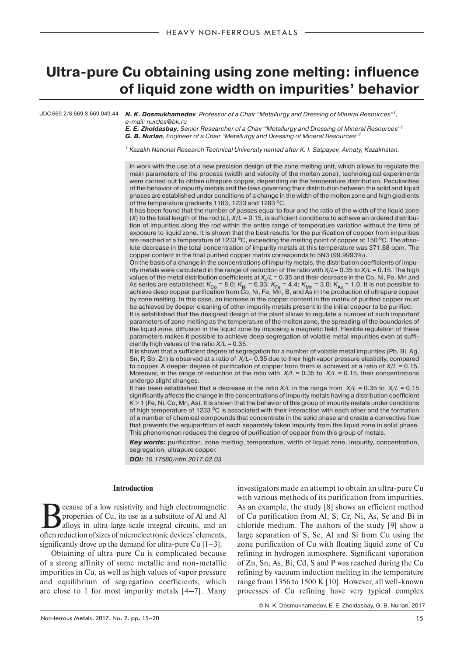# **Ultra-pure Cu obtaining using zone melting: influence of liquid zone width on impurities' behavior**

UDC 669.2/8:669.3:669.049.44 *N. K. Dosmukhamedov*, Professor of a Chair "Metallurgy and Dressing of Mineral Resources"1, e-mail: nurdos@bk.ru

> *E. E. Zholdasbay*, Senior Researcher of a Chair "Metallurgy and Dressing of Mineral Resources"1 *G. B. Nurlan*, Engineer of a Chair "Metallurgy and Dressing of Mineral Resources"1

 $1$  Kazakh National Research Technical University named after K. I. Satpayev, Almaty, Kazakhstan.

In work with the use of a new precision design of the zone melting unit, which allows to regulate the main parameters of the process (width and velocity of the molten zone), technological experiments were carried out to obtain ultrapure copper, depending on the temperature distribution. Peculiarities of the behavior of impurity metals and the laws governing their distribution between the solid and liquid phases are established under conditions of a change in the width of the molten zone and high gradients of the temperature gradients 1183, 1233 and 1283 °C.

It has been found that the number of passes equal to four and the ratio of the width of the liquid zone (*X*) to the total length of the rod (*L*),  $X/L = 0.15$ , is sufficient conditions to achieve an ordered distribution of impurities along the rod within the entire range of temperature variation without the time of exposure to liquid zone. It is shown that the best results for the purification of copper from impurities are reached at a temperature of 1233  $^{\circ}$ C, exceeding the melting point of copper at 150  $^{\circ}$ C. The absolute decrease in the total concentration of impurity metals at this temperature was 371.68 ppm. The copper content in the final purified copper matrix corresponds to 5N3 (99.9993%).

On the basis of a change in the concentrations of impurity metals, the distribution coefficients of impurity metals were calculated in the range of reduction of the ratio with *X*/*L*= 0.35 to *X*/*L* = 0.15. The high values of the metal distribution coefficients at *Xi* /*L* = 0.35 and their decrease in the Co, Ni, Fe, Mn and As series are established:  $K_{\rm{Co}}$  = 8.0;  $K_{\rm{Ni}}$  = 6.33;  $K_{\rm{Fe}}$  = 4.4;  $K_{\rm{Mn}}$  = 3.0;  $K_{\rm{As}}$  = 1.0. It is not possible to<br>achieve deep copper purification from Co, Ni, Fe, Mn, B, and As in the production of by zone melting. In this case, an increase in the copper content in the matrix of purified copper must be achieved by deeper cleaning of other impurity metals present in the initial copper to be purified.

It is established that the designed design of the plant allows to regulate a number of such important parameters of zone melting as the temperature of the molten zone, the spreading of the boundaries of the liquid zone, diffusion in the liquid zone by imposing a magnetic field. Flexible regulation of these parameters makes it possible to achieve deep segregation of volatile metal impurities even at sufficiently high values of the ratio *X/L* = 0.35.

It is shown that a sufficient degree of segregation for a number of volatile metal impurities (Pb, Bi, Ag, Sn, P, Sb, Zn) is observed at a ratio of *X/L*= 0.35 due to their high vapor pressure elasticity, compared to copper. A deeper degree of purification of copper from them is achieved at a ratio of *X*/*L* = 0.15. Moreover, in the range of reduction of the ratio with  $X/L = 0.35$  to  $X/L = 0.15$ , their concentrations undergo slight changes.

It has been established that a decrease in the ratio *X/L* in the range from *X/L* = 0.35 to *X/L* = 0.15 significantly affects the change in the concentrations of impurity metals having a distribution coefficient  $K > 1$  (Fe, Ni, Co, Mn, As). It is shown that the behavior of this group of impurity metals under conditions of high temperature of 1233  $\degree$ C is associated with their interaction with each other and the formation of a number of chemical compounds that concentrate in the solid phase and create a convective flow that prevents the equipartition of each separately taken impurity from the liquid zone in solid phase. This phenomenon reduces the degree of purification of copper from this group of metals.

*Key words:* purification, zone melting, temperature, width of liquid zone, impurity, concentration, segregation, ultrapure copper.

**DO***I: 10.17580/nfm.2017.02.03*

## **Introduction**

Because of a low resistivity and high electromagnetic<br>properties of Cu, its use as a substitute of Al and Al<br>alloys in ultra-large-scale integral circuits, and an<br>action reduction of sizes of microalectronic doviese, eleme properties of Cu, its use as a substitute of Al and Al alloys in ultra-large-scale integral circuits, and an often reduction of sizes of microelectronic devices' elements, significantly drove up the demand for ultra-pure Cu  $[1-3]$ .

Obtaining of ultra-pure Cu is complicated because of a strong affinity of some metallic and non-metallic impurities in Cu, as well as high values of vapor pressure and equilibrium of segregation coefficients, which are close to 1 for most impurity metals [4–7]. Many investigators made an attempt to obtain an ultra-pure Cu with various methods of its purification from impurities. As an example, the study [8] shows an efficient method of Cu purification from Al, S, Cr, Ni, As, Se and Bi in chloride medium. The authors of the study [9] show a large separation of S, Se, Al and Si from Cu using the zone purification of Cu with floating liquid zone of Cu refining in hydrogen atmosphere. Significant vaporation of Zn, Sn, As, Bi, Cd, S and P was reached during the Cu refining by vacuum induction melting in the temperature range from 1356 to 1500 K [10]. However, all well-known processes of Cu refining have very typical complex

© N. K. Dosmukhamedov, E. E. Zholdasbay, G. B. Nurlan, 2017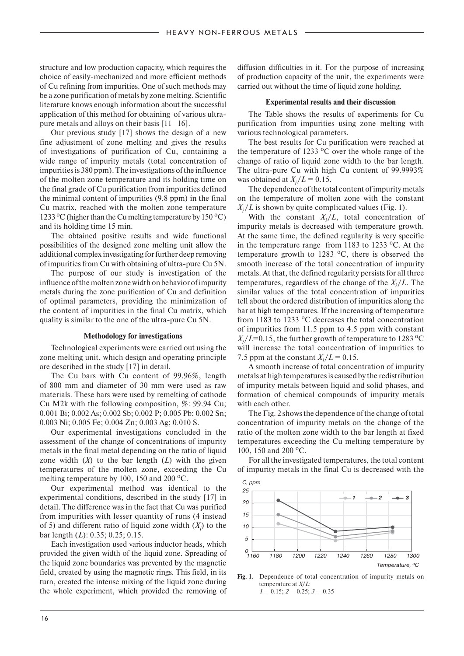structure and low production capacity, which requires the choice of easily-mechanized and more efficient methods of Cu refining from impurities. One of such methods may be a zone purification of metals by zone melting. Scientific literature knows enough information about the successful application of this method for obtaining of various ultrapure metals and alloys on their basis [11–16].

Our previous study [17] shows the design of a new fine adjustment of zone melting and gives the results of investigations of purification of Cu, containing a wide range of impurity metals (total concentration of impurities is 380 ppm). The investigations of the influence of the molten zone temperature and its holding time on the final grade of Cu purification from impurities defined the minimal content of impurities (9.8 ppm) in the final Cu matrix, reached with the molten zone temperature 1233 °C (higher than the Cu melting temperature by 150 °C) and its holding time 15 min.

The obtained positive results and wide functional possibilities of the designed zone melting unit allow the additional complex investigating for further deep removing of impurities from Cu with obtaining of ultra-pure Cu 5N.

The purpose of our study is investigation of the influence of the molten zone width on behavior of impurity metals during the zone purification of Cu and definition of optimal parameters, providing the minimization of the content of impurities in the final Cu matrix, which quality is similar to the one of the ultra-pure Cu 5N.

### **Methodology for investigations**

Technological experiments were carried out using the zone melting unit, which design and operating principle are described in the study [17] in detail.

The Cu bars with Cu content of 99.96%, length of 800 mm and diameter of 30 mm were used as raw materials. These bars were used by remelting of cathode Cu M2k with the following composition, %: 99.94 Cu; 0.001 Bi; 0.002 As; 0.002 Sb; 0.002 P; 0.005 Pb; 0.002 Sn; 0.003 Ni; 0.005 Fe; 0.004 Zn; 0.003 Ag; 0.010 S.

Our experimental investigations concluded in the assessment of the change of concentrations of impurity metals in the final metal depending on the ratio of liquid zone width  $(X)$  to the bar length  $(L)$  with the given temperatures of the molten zone, exceeding the Cu melting temperature by 100, 150 and 200  $^{\circ}$ C.

Our experimental method was identical to the experimental conditions, described in the study [17] in detail. The difference was in the fact that Cu was purified from impurities with lesser quantity of runs (4 instead of 5) and different ratio of liquid zone width  $(X_i)$  to the bar length (*L*): 0.35; 0.25; 0.15.

Each investigation used various inductor heads, which provided the given width of the liquid zone. Spreading of the liquid zone boundaries was prevented by the magnetic field, created by using the magnetic rings. This field, in its turn, created the intense mixing of the liquid zone during the whole experiment, which provided the removing of

diffusion difficulties in it. For the purpose of increasing of production capacity of the unit, the experiments were carried out without the time of liquid zone holding.

## **Experimental results and their discussion**

The Table shows the results of experiments for Cu purification from impurities using zone melting with various technological parameters.

The best results for Cu purification were reached at the temperature of 1233  $\degree$ C over the whole range of the change of ratio of liquid zone width to the bar length. The ultra-pure Cu with high Cu content of 99.9993% was obtained at  $X_i/L = 0.15$ .

The dependence of the total content of impurity metals on the temperature of molten zone with the constant  $X_i/L$  is shown by quite complicated values (Fig. 1).

With the constant  $X_i/L$ , total concentration of impurity metals is decreased with temperature growth. At the same time, the defined regularity is very specific in the temperature range from 1183 to 1233  $^{\circ}$ C. At the temperature growth to 1283  $^{\circ}$ C, there is observed the smooth increase of the total concentration of impurity metals. At that, the defined regularity persists for all three temperatures, regardless of the change of the  $X_i/L$ . The similar values of the total concentration of impurities tell about the ordered distribution of impurities along the bar at high temperatures. If the increasing of temperature from 1183 to 1233  $\degree$ C decreases the total concentration of impurities from 11.5 ppm to 4.5 ppm with constant  $X_i/L$ =0.15, the further growth of temperature to 1283 <sup>o</sup>C will increase the total concentration of impurities to 7.5 ppm at the constant  $X_i/L = 0.15$ .

A smooth increase of total concentration of impurity metals at high temperatures is caused by the redistribution of impurity metals between liquid and solid phases, and formation of chemical compounds of impurity metals with each other.

The Fig. 2 shows the dependence of the change of total concentration of impurity metals on the change of the ratio of the molten zone width to the bar length at fixed temperatures exceeding the Cu melting temperature by 100, 150 and 200  $^{\circ}$ C.

For all the investigated temperatures, the total content of impurity metals in the final Cu is decreased with the



**Fig. 1.** Dependence of total concentration of impurity metals on temperature at *Х*/*L*: *1* — 0.15; *2* — 0.25; *3* — 0.35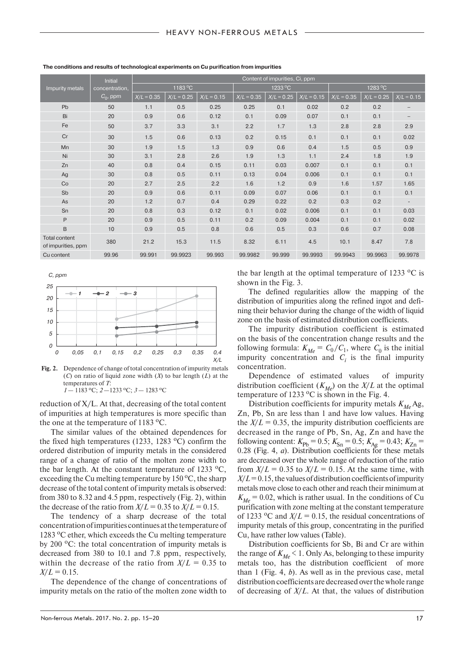| Impurity metals                            | Initial<br>concentration.<br>$C_0$ , ppm | Content of impurities, Ci, ppm |              |              |              |              |              |                  |              |              |
|--------------------------------------------|------------------------------------------|--------------------------------|--------------|--------------|--------------|--------------|--------------|------------------|--------------|--------------|
|                                            |                                          | 1183 °C                        |              |              | 1233 °C      |              |              | $1283^{\circ}$ C |              |              |
|                                            |                                          | $X/L = 0.35$                   | $X/L = 0.25$ | $X/L = 0.15$ | $X/L = 0.35$ | $X/L = 0.25$ | $X/L = 0.15$ | $X/L = 0.35$     | $X/L = 0.25$ | $X/L = 0.15$ |
| Pb                                         | 50                                       | 1.1                            | 0.5          | 0.25         | 0.25         | 0.1          | 0.02         | 0.2              | 0.2          |              |
| Bi                                         | 20                                       | 0.9                            | 0.6          | 0.12         | 0.1          | 0.09         | 0.07         | 0.1              | 0.1          |              |
| Fe                                         | 50                                       | 3.7                            | 3.3          | 3.1          | 2.2          | 1.7          | 1.3          | 2.8              | 2.8          | 2.9          |
| Cr                                         | 30                                       | 1.5                            | 0.6          | 0.13         | 0.2          | 0.15         | 0.1          | 0.1              | 0.1          | 0.02         |
| Mn                                         | 30                                       | 1.9                            | 1.5          | 1.3          | 0.9          | 0.6          | 0.4          | 1.5              | 0.5          | 0.9          |
| Ni                                         | 30                                       | 3.1                            | 2.8          | 2.6          | 1.9          | 1.3          | 1.1          | 2.4              | 1.8          | 1.9          |
| Zn                                         | 40                                       | 0.8                            | 0.4          | 0.15         | 0.11         | 0.03         | 0.007        | 0.1              | 0.1          | 0.1          |
| Ag                                         | 30                                       | 0.8                            | 0.5          | 0.11         | 0.13         | 0.04         | 0.006        | 0.1              | 0.1          | 0.1          |
| Co                                         | 20                                       | 2.7                            | 2.5          | 2.2          | 1.6          | 1.2          | 0.9          | 1.6              | 1.57         | 1.65         |
| Sb                                         | 20                                       | 0.9                            | 0.6          | 0.11         | 0.09         | 0.07         | 0.06         | 0.1              | 0.1          | 0.1          |
| As                                         | 20                                       | 1.2                            | 0.7          | 0.4          | 0.29         | 0.22         | 0.2          | 0.3              | 0.2          |              |
| Sn                                         | 20                                       | 0.8                            | 0.3          | 0.12         | 0.1          | 0.02         | 0.006        | 0.1              | 0.1          | 0.03         |
| P                                          | 20                                       | 0.9                            | 0.5          | 0.11         | 0.2          | 0.09         | 0.004        | 0.1              | 0.1          | 0.02         |
| B                                          | 10                                       | 0.9                            | 0.5          | 0.8          | 0.6          | 0.5          | 0.3          | 0.6              | 0.7          | 0.08         |
| <b>Total content</b><br>of impurities, ppm | 380                                      | 21.2                           | 15.3         | 11.5         | 8.32         | 6.11         | 4.5          | 10.1             | 8.47         | 7.8          |
| Cu content                                 | 99.96                                    | 99.991                         | 99.9923      | 99.993       | 99.9982      | 99.999       | 99.9993      | 99.9943          | 99.9963      | 99.9978      |

**The conditions and results of technological experiments on Cu purification from impurities**



**Fig. 2.** Dependence of change of total concentration of impurity metals (*C*) on ratio of liquid zone width (*X*) to bar length (*L*) at the temperatures of *Т*: *1* — 1183 оС; *2* —1233 оС; *3* — 1283 оС

reduction of X/L. At that, decreasing of the total content of impurities at high temperatures is more specific than the one at the temperature of  $1183 \text{ °C}$ .

The similar values of the obtained dependences for the fixed high temperatures (1233, 1283  $^{\circ}$ C) confirm the ordered distribution of impurity metals in the considered range of a change of ratio of the molten zone width to the bar length. At the constant temperature of 1233  $^{\circ}C$ , exceeding the Cu melting temperature by  $150^{\circ}$ C, the sharp decrease of the total content of impurity metals is observed: from 380 to 8.32 and 4.5 ppm, respectively (Fig. 2), within the decrease of the ratio from  $X/L = 0.35$  to  $X/L = 0.15$ .

The tendency of a sharp decrease of the total concentration of impurities continues at the temperature of 1283  $\rm{^{\circ}C}$  ether, which exceeds the Cu melting temperature by 200  $^{\circ}$ C: the total concentration of impurity metals is decreased from 380 to 10.1 and 7.8 ppm, respectively, within the decrease of the ratio from  $X/L = 0.35$  to  $X/L = 0.15$ .

The dependence of the change of concentrations of impurity metals on the ratio of the molten zone width to the bar length at the optimal temperature of 1233  $\,^{\circ}\text{C}$  is shown in the Fig. 3.

The defined regularities allow the mapping of the distribution of impurities along the refined ingot and defining their behavior during the change of the width of liquid zone on the basis of estimated distribution coefficients.

The impurity distribution coefficient is estimated on the basis of the concentration change results and the following formula:  $K_{Me} = C_0/C_1$ , where  $C_0$  is the initial impurity concentration and  $C_i$  is the final impurity concentration.

Dependence of estimated values of impurity distribution coefficient  $(K_{M_e})$  on the  $X/L$  at the optimal temperature of 1233  $\mathrm{^{\circ}C}$  is shown in the Fig. 4.

Distribution coefficients for impurity metals  $K_{Me}$  Ag, Zn, Pb, Sn are less than 1 and have low values. Having the  $X/L = 0.35$ , the impurity distribution coefficients are decreased in the range of Pb, Sn, Ag, Zn and have the following content:  $K_{\text{Pb}} = 0.5$ ;  $K_{\text{Sn}} = 0.5$ ;  $K_{\text{Ag}} = 0.43$ ;  $K_{\text{Zn}} =$ 0.28 (Fig. 4, *a*). Distribution coefficients for these metals are decreased over the whole range of reduction of the ratio from  $X/L = 0.35$  to  $X/L = 0.15$ . At the same time, with  $X/L = 0.15$ , the values of distribution coefficients of impurity metals move close to each other and reach their minimum at  $K_{M_e}$  = 0.02, which is rather usual. In the conditions of Cu purification with zone melting at the constant temperature of 1233 <sup>o</sup>C and  $X/L = 0.15$ , the residual concentrations of impurity metals of this group, concentrating in the purified Cu, have rather low values (Table).

Distribution coefficients for Sb, Bi and Cr are within the range of  $K_{Me}$  < 1. Only As, belonging to these impurity metals too, has the distribution coefficient of more than 1 (Fig. 4, *b*). As well as in the previous case, metal distribution coefficients are decreased over the whole range of decreasing of *X*/*L*. At that, the values of distribution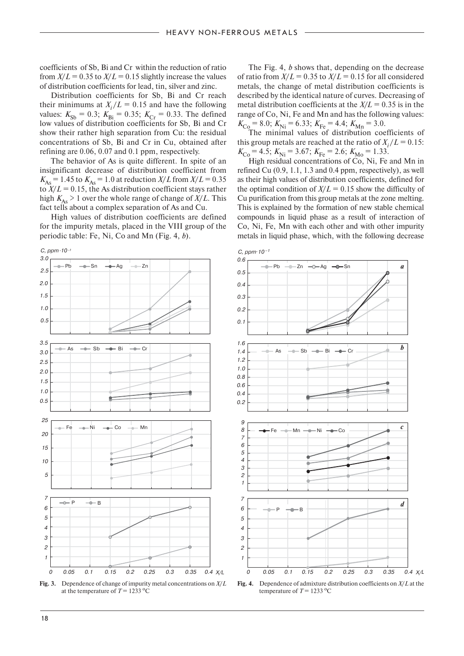coefficients of Sb, Bi and Cr within the reduction of ratio from  $X/L = 0.35$  to  $X/L = 0.15$  slightly increase the values of distribution coefficients for lead, tin, silver and zinc.

Distribution coefficients for Sb, Bi and Cr reach their minimums at  $X_i/L = 0.15$  and have the following values:  $K_{\text{Sb}} = 0.3$ ;  $K_{\text{Bi}} = 0.35$ ;  $K_{\text{Cr}} = 0.33$ . The defined low values of distribution coefficients for Sb, Bi and Cr show their rather high separation from Cu: the residual concentrations of Sb, Bi and Cr in Cu, obtained after refining are 0.06, 0.07 and 0.1 ppm, respectively.

The behavior of As is quite different. In spite of an insignificant decrease of distribution coefficient from  $K_{As} = 1.45$  to  $K_{As} = 1.0$  at reduction *X/L* from  $X/L = 0.35$ to  $X/L = 0.15$ , the As distribution coefficient stays rather high  $K_{As} > 1$  over the whole range of change of  $X/L$ . This fact tells about a complex separation of As and Cu.

High values of distribution coefficients are defined for the impurity metals, placed in the VIII group of the periodic table: Fe, Ni, Co and Mn (Fig. 4, *b*).



**Fig. 3.** Dependence of change of impurity metal concentrations on *X*/*L*  at the temperature of  $T = 1233 \text{ °C}$ 

The Fig. 4, *b* shows that, depending on the decrease of ratio from  $X/L = 0.35$  to  $X/L = 0.15$  for all considered metals, the change of metal distribution coefficients is described by the identical nature of curves. Decreasing of metal distribution coefficients at the  $X/L = 0.35$  is in the range of Co, Ni, Fe and Mn and has the following values:  $K_{\text{Co}} = 8.0$ ;  $K_{\text{Ni}} = 6.33$ ;  $K_{\text{Fe}} = 4.4$ ;  $K_{\text{Mn}} = 3.0$ .

The minimal values of distribution coefficients of this group metals are reached at the ratio of  $X_i/L = 0.15$ :  $K_{\text{Co}} = 4.5; K_{\text{Ni}} = 3.67; K_{\text{Fe}} = 2.6; K_{\text{Mo}} = 1.33.$ 

High residual concentrations of Co, Ni, Fe and Mn in refined Cu (0.9, 1.1, 1.3 and 0.4 ppm, respectively), as well as their high values of distribution coefficients, defined for the optimal condition of  $X/L = 0.15$  show the difficulty of Cu purification from this group metals at the zone melting. This is explained by the formation of new stable chemical compounds in liquid phase as a result of interaction of Co, Ni, Fe, Mn with each other and with other impurity metals in liquid phase, which, with the following decrease



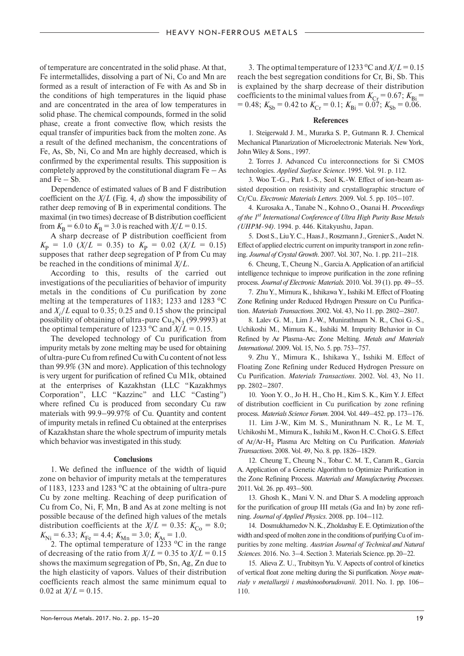of temperature are concentrated in the solid phase. At that, Fe intermetallides, dissolving a part of Ni, Co and Mn are formed as a result of interaction of Fe with As and Sb in the conditions of high temperatures in the liquid phase and are concentrated in the area of low temperatures in solid phase. The chemical compounds, formed in the solid phase, create a front convective flow, which resists the equal transfer of impurities back from the molten zone. As a result of the defined mechanism, the concentrations of Fe, As, Sb, Ni, Co and Mn are highly decreased, which is confirmed by the experimental results. This supposition is completely approved by the constitutional diagram  $Fe - As$ and  $Fe - Sb$ .

Dependence of estimated values of B and F distribution coefficient on the *X*/*L* (Fig. 4, *d*) show the impossibility of rather deep removing of B in experimental conditions. The maximal (in two times) decrease of B distribution coefficient from  $K_{\text{B}} = 6.0$  to  $K_{\text{B}} = 3.0$  is reached with  $X/L = 0.15$ .

A sharp decrease of P distribution coefficient from  $K_{\rm P}$  = 1.0 (*X/L* = 0.35) to  $K_{\rm P}$  = 0.02 (*X/L* = 0.15) supposes that rather deep segregation of P from Cu may be reached in the conditions of minimal *X*/*L*.

According to this, results of the carried out investigations of the peculiarities of behavior of impurity metals in the conditions of Cu purification by zone melting at the temperatures of 1183; 1233 and 1283  $^{\circ}$ C and  $X_i/L$  equal to 0.35; 0.25 and 0.15 show the principal possibility of obtaining of ultra-pure  $Cu<sub>5</sub>N<sub>3</sub>$  (99.9993) at the optimal temperature of 1233 °C and  $\overline{X/L} = 0.15$ .

The developed technology of Cu purification from impurity metals by zone melting may be used for obtaining of ultra-pure Cu from refined Cu with Cu content of not less than 99.9% (3N and more). Application of this technology is very urgent for purification of refined Cu M1k, obtained at the enterprises of Kazakhstan (LLC "Kazakhmys Corporation", LLC "Kazzinc" and LLC "Casting") where refined Cu is produced from secondary Cu raw materials with 99.9–99.97% of Cu. Quantity and content of impurity metals in refined Cu obtained at the enterprises of Kazakhstan share the whole spectrum of impurity metals which behavior was investigated in this study.

### **Conclusions**

1. We defined the influence of the width of liquid zone on behavior of impurity metals at the temperatures of 1183, 1233 and 1283  $\degree$ C at the obtaining of ultra-pure Cu by zone melting. Reaching of deep purification of Cu from Co, Ni, F, Mn, B and As at zone melting is not possible because of the defined high values of the metals distribution coefficients at the  $X/L = 0.35$ :  $K_{C<sub>0</sub>} = 8.0$ ;  $K_{\text{Ni}} = 6.33; K_{\text{Fe}} = 4.4; K_{\text{Mn}} = 3.0; K_{\text{As}} = 1.0.$ 

2. The optimal temperature of  $1233 \text{ °C}$  in the range of decreasing of the ratio from  $X/L = 0.35$  to  $X/L = 0.15$ shows the maximum segregation of Pb, Sn, Ag, Zn due to the high elasticity of vapors. Values of their distribution coefficients reach almost the same minimum equal to 0.02 at  $X/L = 0.15$ .

3. The optimal temperature of 1233 °C and  $X/L = 0.15$ reach the best segregation conditions for Cr, Bi, Sb. This is explained by the sharp decrease of their distribution coefficients to the minimal values from  $K_{Cr} = 0.67$ ;  $K_{Bi} =$  $K_{\text{Sb}} = 0.48$ ;  $K_{\text{Sb}} = 0.42$  to  $K_{\text{Cr}} = 0.1$ ;  $K_{\text{Bi}} = 0.07$ ;  $K_{\text{Sb}} = 0.06$ .

#### **References**

1. Steigerwald J. M., Murarka S. P., Gutmann R. J. Chemical Mechanical Planarization of Microelectronic Materials. New York, John Wiley & Sons., 1997.

2. Torres J. Advanced Cu interconnections for Si CMOS technologies. *Applied Surface Science.* 1995. Vol. 91. p. 112.

3. Woo T.-G., Park I.-S., Seol K.-W. Effect of ion-beam assisted deposition оn resistivity and crystallographic structure of Cr/Cu. *Electronic Materials Letters*. 2009. Vol. 5. pp. 105–107.

4. Kurosaka A., Tanabe N., Kohno O., Osanai H. *Proceedings of the 1st International Conference of Ultra High Purity Base Metals (UHPM-94).* 1994. p. 446. Kitakyushu, Japan.

5. Dost S., Liu Y. C., Haas J., Roszmann J., Grenier S., Audet N. Effect of applied electric current on impurity transport in zone refining. *Journal of Crystal Growth*. 2007. Vol. 307, No. 1. pp. 211–218.

6. Cheung, T., Cheung N., Garcia A. Application of an artificial intelligence technique to improve purification in the zone refining process. *Journal of Electronic Materials*. 2010. Vol. 39 (1). pp. 49–55.

7. Zhu Y., Mimura K., Ishikawa Y., Isshiki M. Effect of Floating Zone Refining under Reduced Hydrogen Pressure on Cu Purification. *Materials Transactions*. 2002. Vol. 43, No 11. pp. 2802–2807.

8. Lalev G. M., Lim J.-W., Munirathnam N. R., Choi G.-S., Uchikoshi M., Mimura K., Isshiki M. Impurity Behavior in Cu Refined by Ar Plasma-Arc Zone Melting. *Metals and Materials International.* 2009. Vol. 15, No. 5. pp. 753–757.

9. Zhu Y., Mimura K., Ishikawa Y., Isshiki M. Effect of Floating Zone Refining under Reduced Hydrogen Pressure on Cu Purification. *Materials Transactions.* 2002. Vol. 43, No 11. pp. 2802–2807.

10. Yoon Y. O., Jo H. H., Cho H., Kim S. K., Kim Y. J. Effect of distribution coefficient in Cu purification by zone refining process. *Materials Science Forum*. 2004. Vol. 449–452. pp. 173–176.

11. Lim J-W., Kim M. S., Munirathnam N. R., Le M. T., Uchikoshi M., Mimura K., Isshiki М., Kwon Н. С. Choi G. S. Effect of Ar/Ar-H2 Plasma Arc Melting on Cu Purification. *Materials Transactions.* 2008. Vol. 49, No. 8. pp. 1826–1829.

12. Cheung T., Cheung N., Tobar C. M. T., Caram R., Garcia A. Application of a Genetic Algorithm to Optimize Purification in the Zone Refining Process. *Materials and Manufacturing Processes.*  2011. Vol. 26. pp. 493–500.

13. Ghosh K., Mani V. N. and Dhar S. A modeling approach for the purification of group III metals (Ga and In) by zone refining. *Journal of Applied Physics*. 2008. pp. 104–112.

14. Dosmukhamedov N. K., Zholdasbay E. E. Optimization of the width and speed of molten zone in the conditions of purifying Cu of impurities by zone melting. *Austrian Journal of Technical and Natural Sciences.* 2016. No. 3–4. Section 3. Materials Science. pp. 20–22.

15. Alieva Z. U., Trubitsyn Yu. V. Aspects of control of kinetics of vertical float zone melting during the Si purification. *Novye materialy v metallurgii i mashinooborudovanii.* 2011. No. 1. pp. 106– 110.